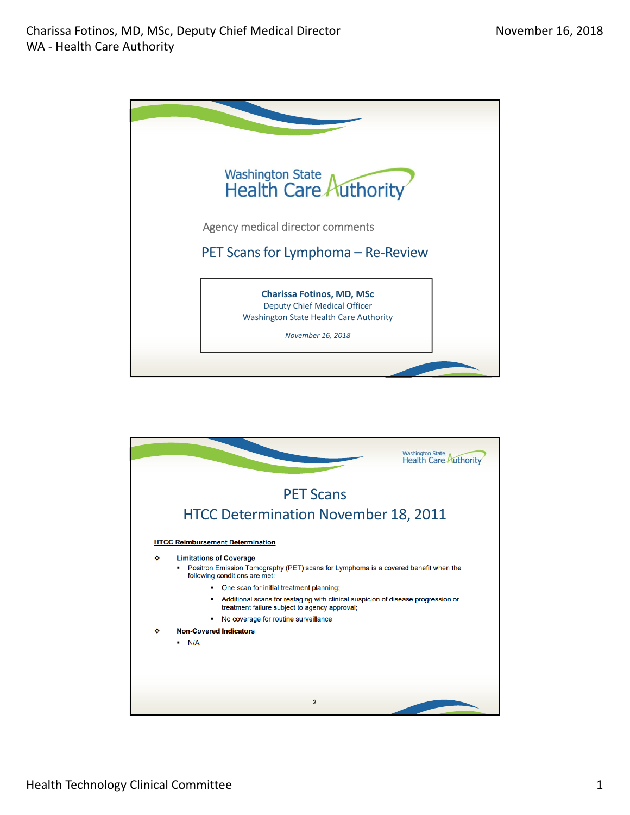

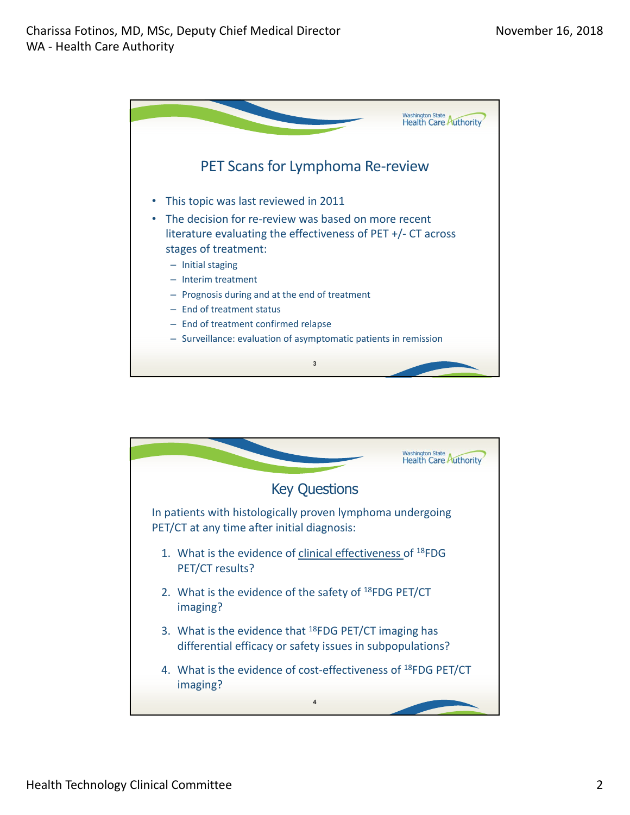

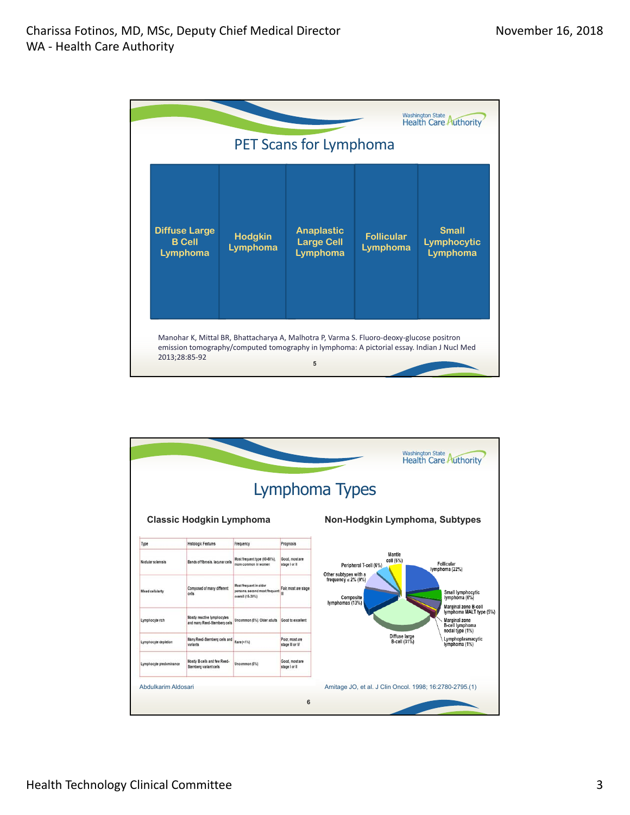|                                                   |                            |                                                                                                                                                                                            |                               | <b>Washington State</b><br><b>Health Care Authorit</b> |
|---------------------------------------------------|----------------------------|--------------------------------------------------------------------------------------------------------------------------------------------------------------------------------------------|-------------------------------|--------------------------------------------------------|
|                                                   |                            | PET Scans for Lymphoma                                                                                                                                                                     |                               |                                                        |
| <b>Diffuse Large</b><br><b>B</b> Cell<br>Lymphoma | <b>Hodgkin</b><br>Lymphoma | <b>Anaplastic</b><br><b>Large Cell</b><br>Lymphoma                                                                                                                                         | <b>Follicular</b><br>Lymphoma | <b>Small</b><br>Lymphocytic<br>Lymphoma                |
| 2013;28:85-92                                     |                            | Manohar K, Mittal BR, Bhattacharya A, Malhotra P, Varma S. Fluoro-deoxy-glucose positron<br>emission tomography/computed tomography in lymphoma: A pictorial essay. Indian J Nucl Med<br>5 |                               |                                                        |

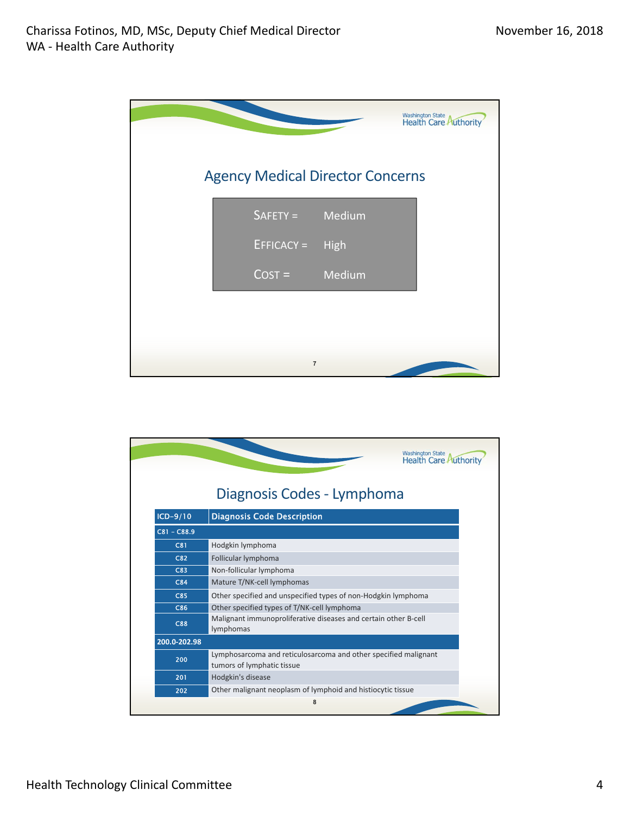|                 |                                         | Washington State<br>Health Care Authority |
|-----------------|-----------------------------------------|-------------------------------------------|
|                 | <b>Agency Medical Director Concerns</b> |                                           |
| SAFETY = Medium |                                         |                                           |
| $EFTICACY =$    | <b>High</b>                             |                                           |
| $Cost =$ Medium |                                         |                                           |
|                 |                                         |                                           |
|                 |                                         |                                           |
| $\overline{7}$  |                                         |                                           |

|               | <b>Washington State</b><br><b>Health Care Authorit</b>                                        |  |
|---------------|-----------------------------------------------------------------------------------------------|--|
|               | Diagnosis Codes - Lymphoma                                                                    |  |
| $ICD-9/10$    | <b>Diagnosis Code Description</b>                                                             |  |
| $C81 - C88.9$ |                                                                                               |  |
| C81           | Hodgkin lymphoma                                                                              |  |
| C82           | Follicular lymphoma                                                                           |  |
| C83           | Non-follicular lymphoma                                                                       |  |
| C84           | Mature T/NK-cell lymphomas                                                                    |  |
| <b>C85</b>    | Other specified and unspecified types of non-Hodgkin lymphoma                                 |  |
| C86           | Other specified types of T/NK-cell lymphoma                                                   |  |
| <b>C88</b>    | Malignant immunoproliferative diseases and certain other B-cell<br>lymphomas                  |  |
| 200.0-202.98  |                                                                                               |  |
| 200           | Lymphosarcoma and reticulosarcoma and other specified malignant<br>tumors of lymphatic tissue |  |
| 201           | Hodgkin's disease                                                                             |  |
| 202           | Other malignant neoplasm of lymphoid and histiocytic tissue                                   |  |
|               | 8                                                                                             |  |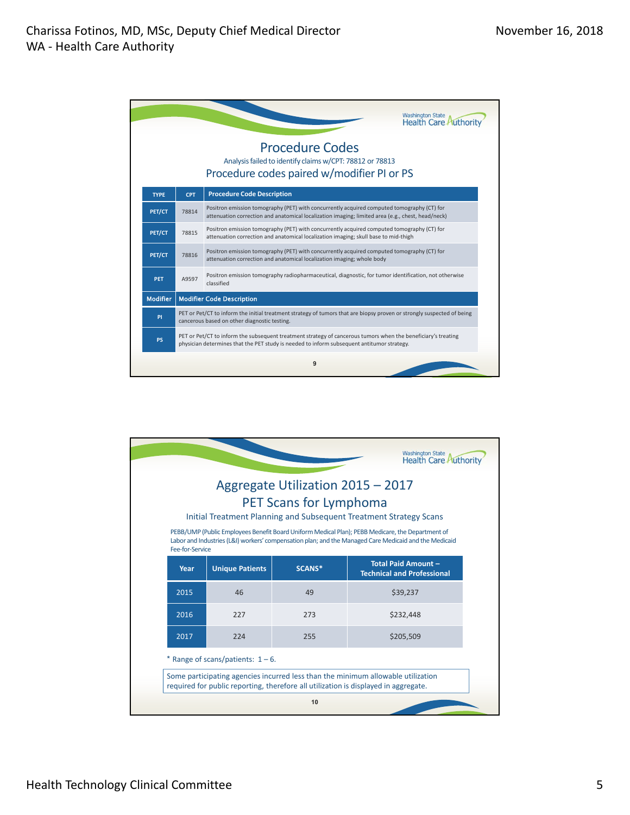

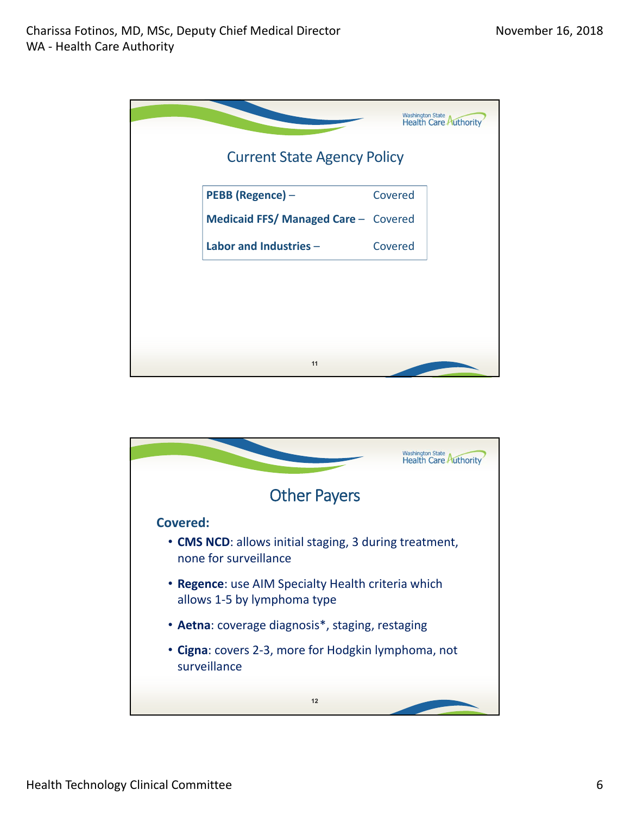|                                      |         | Washington State<br>Health Care Authority |
|--------------------------------------|---------|-------------------------------------------|
| <b>Current State Agency Policy</b>   |         |                                           |
| PEBB (Regence) -                     | Covered |                                           |
| Medicaid FFS/ Managed Care - Covered |         |                                           |
| Labor and Industries -               | Covered |                                           |
|                                      |         |                                           |
|                                      |         |                                           |
|                                      |         |                                           |
|                                      |         |                                           |
| 11                                   |         |                                           |

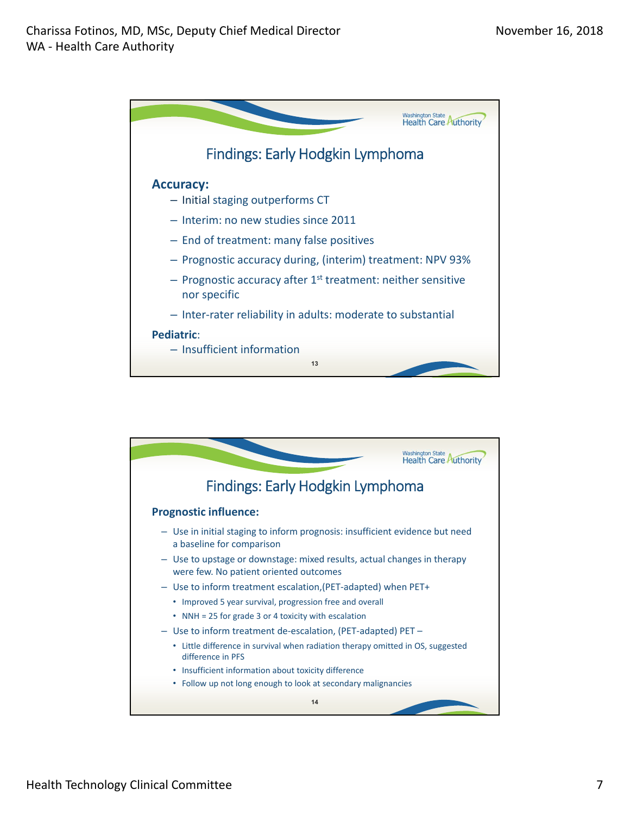

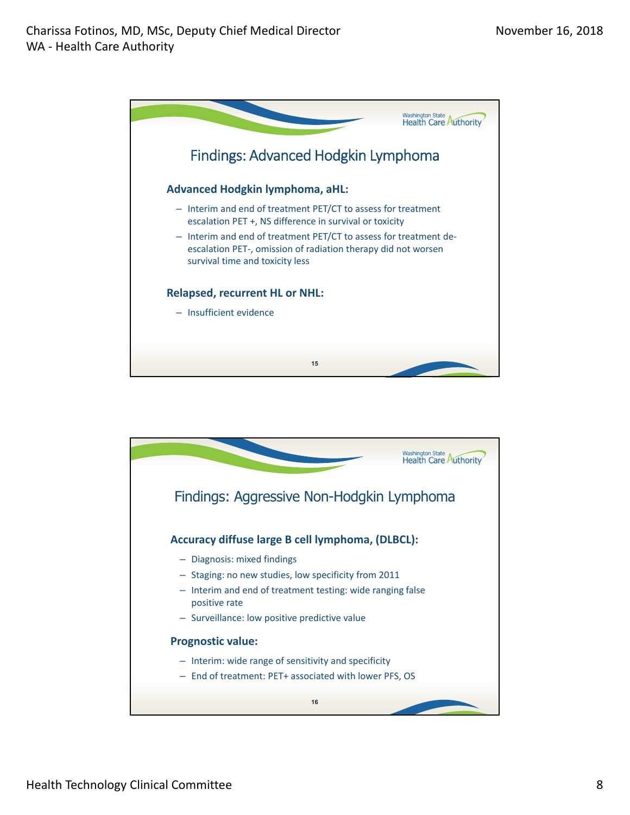

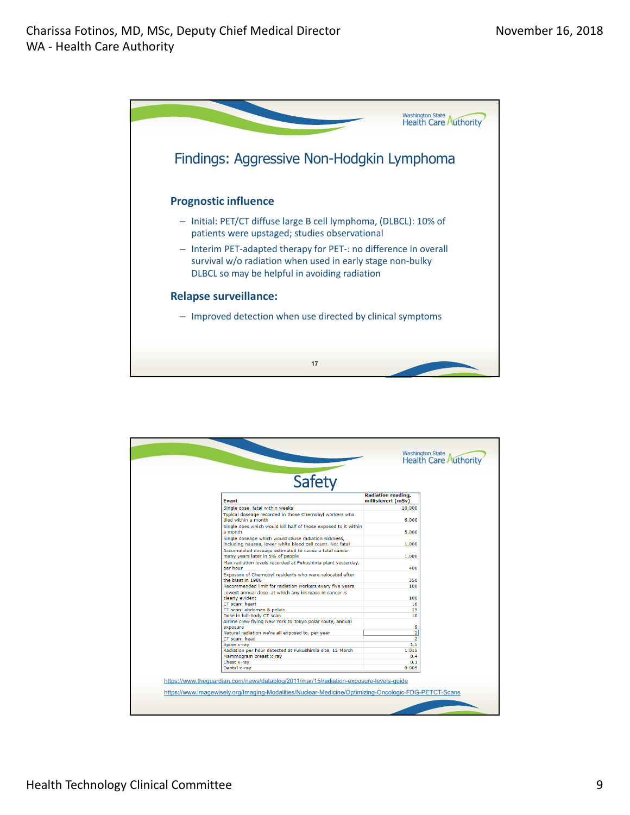

| <b>Safety</b>                                                                                                     |                                                 |  |
|-------------------------------------------------------------------------------------------------------------------|-------------------------------------------------|--|
| <b>Fvent</b>                                                                                                      | <b>Radiation reading,</b><br>millisievert (mSv) |  |
| Single dose, fatal within weeks                                                                                   | 10,000                                          |  |
| Typical doseage recorded in those Chernobyl workers who<br>died within a month.                                   | 6,000                                           |  |
| Single does which would kill half of those exposed to it within<br>a month                                        | 5,000                                           |  |
| Single doseage which would cause radiation sickness,<br>including nausea, lower white blood cell count. Not fatal | 1,000                                           |  |
| Accumulated doseage estimated to cause a fatal cancer<br>many years later in 5% of people                         | 1,000                                           |  |
| Max radiation levels recorded at Fukushima plant yesterday,<br>per hour                                           | 400                                             |  |
| Exposure of Chernobyl residents who were relocated after<br>the blast in 1986                                     | 350                                             |  |
| Recommended limit for radiation workers every five years                                                          | 100                                             |  |
| Lowest annual dose at which any increase in cancer is<br>clearly evident                                          | 100                                             |  |
| CT scan: heart                                                                                                    | 16                                              |  |
| CT scan: abdomen & pelvis                                                                                         | 15                                              |  |
| Dose in full-body CT scan                                                                                         | 10                                              |  |
| Airline crew flying New York to Tokyo polar route, annual<br>exposure                                             | 9                                               |  |
| Natural radiation we're all exposed to, per year                                                                  | $\overline{2}$                                  |  |
| CT scan: head                                                                                                     | $\overline{2}$                                  |  |
| Spine x-ray                                                                                                       | 1.5                                             |  |
| Radiation per hour detected at Fukushimia site, 12 March                                                          | 1.015                                           |  |
| Mammogram breast x-ray                                                                                            | 0.4                                             |  |
| Chest x-ray                                                                                                       | 0.1                                             |  |
| Dental x-ray                                                                                                      | 0.005                                           |  |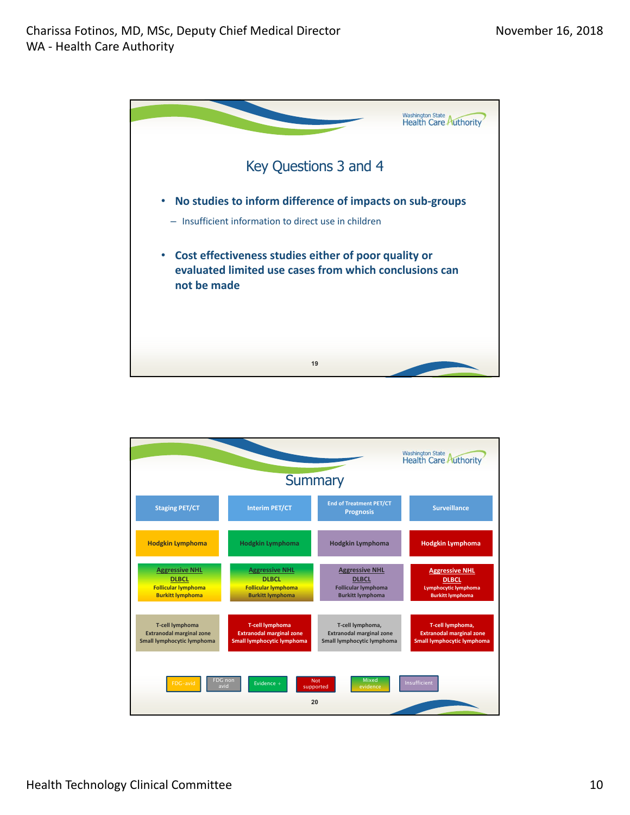

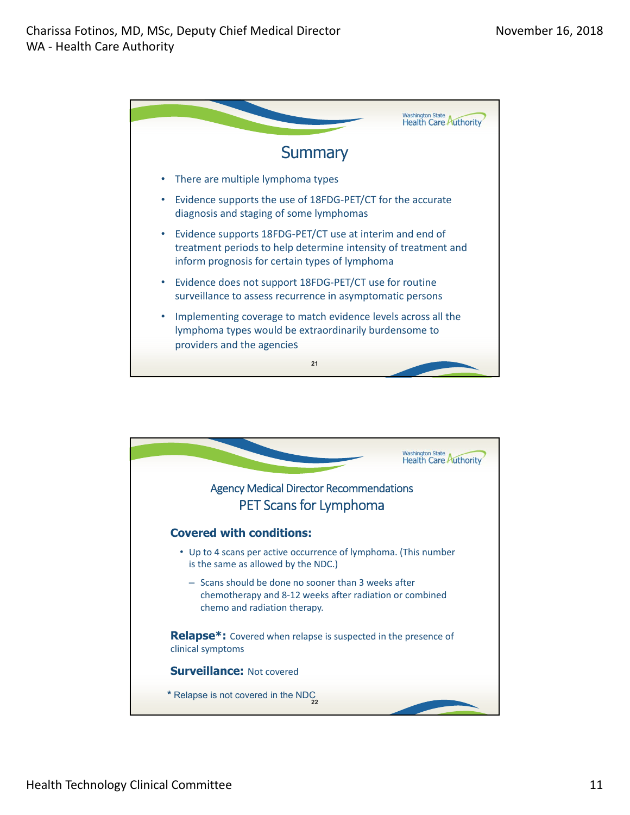